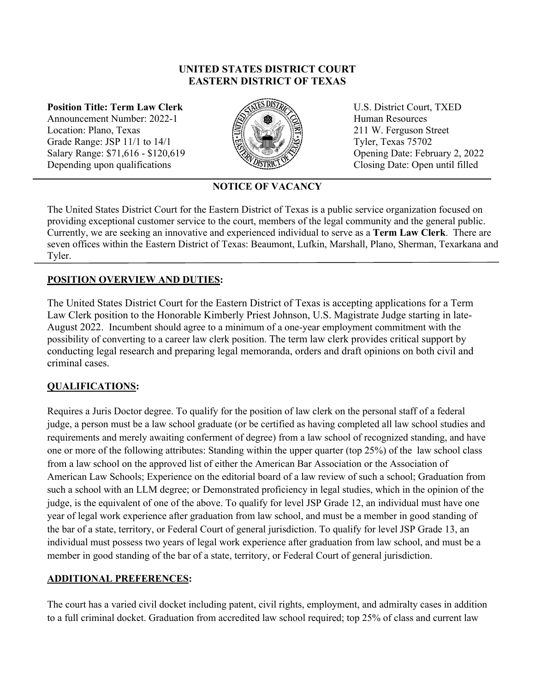#### **UNITED STATES DISTRICT COURT EASTERN DISTRICT OF TEXAS**

**Position Title: Term Law Clerk**  Announcement Number: 2022-1 Location: Plano, Texas Grade Range: JSP 11/1 to 14/1 Salary Range: \$71,616 - \$120,619 Depending upon qualifications



 U.S. District Court, TXED Human Resources 211 W. Ferguson Street Tyler, Texas 75702 Opening Date: February 2, 2022 Closing Date: Open until filled

# **NOTICE OF VACANCY**

The United States District Court for the Eastern District of Texas is a public service organization focused on providing exceptional customer service to the court, members of the legal community and the general public. Currently, we are seeking an innovative and experienced individual to serve as a **Term Law Clerk**. There are seven offices within the Eastern District of Texas: Beaumont, Lufkin, Marshall, Plano, Sherman, Texarkana and Tyler.

#### **POSITION OVERVIEW AND DUTIES:**

The United States District Court for the Eastern District of Texas is accepting applications for a Term Law Clerk position to the Honorable Kimberly Priest Johnson, U.S. Magistrate Judge starting in late-August 2022. Incumbent should agree to a minimum of a one-year employment commitment with the possibility of converting to a career law clerk position. The term law clerk provides critical support by conducting legal research and preparing legal memoranda, orders and draft opinions on both civil and criminal cases.

# **QUALIFICATIONS:**

Requires a Juris Doctor degree. To qualify for the position of law clerk on the personal staff of a federal judge, a person must be a law school graduate (or be certified as having completed all law school studies and requirements and merely awaiting conferment of degree) from a law school of recognized standing, and have one or more of the following attributes: Standing within the upper quarter (top 25%) of the law school class from a law school on the approved list of either the American Bar Association or the Association of American Law Schools; Experience on the editorial board of a law review of such a school; Graduation from such a school with an LLM degree; or Demonstrated proficiency in legal studies, which in the opinion of the judge, is the equivalent of one of the above. To qualify for level JSP Grade 12, an individual must have one year of legal work experience after graduation from law school, and must be a member in good standing of the bar of a state, territory, or Federal Court of general jurisdiction. To qualify for level JSP Grade 13, an individual must possess two years of legal work experience after graduation from law school, and must be a member in good standing of the bar of a state, territory, or Federal Court of general jurisdiction.

#### **ADDITIONAL PREFERENCES:**

The court has a varied civil docket including patent, civil rights, employment, and admiralty cases in addition to a full criminal docket. Graduation from accredited law school required; top 25% of class and current law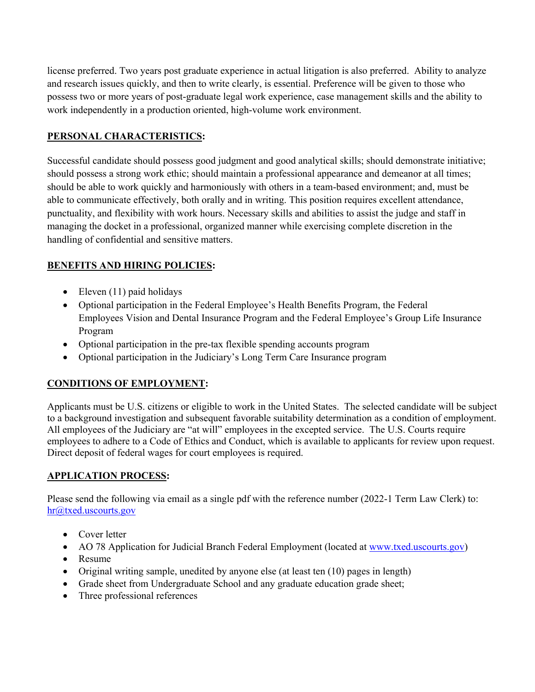license preferred. Two years post graduate experience in actual litigation is also preferred. Ability to analyze and research issues quickly, and then to write clearly, is essential. Preference will be given to those who possess two or more years of post-graduate legal work experience, case management skills and the ability to work independently in a production oriented, high-volume work environment.

## **PERSONAL CHARACTERISTICS:**

Successful candidate should possess good judgment and good analytical skills; should demonstrate initiative; should possess a strong work ethic; should maintain a professional appearance and demeanor at all times; should be able to work quickly and harmoniously with others in a team-based environment; and, must be able to communicate effectively, both orally and in writing. This position requires excellent attendance, punctuality, and flexibility with work hours. Necessary skills and abilities to assist the judge and staff in managing the docket in a professional, organized manner while exercising complete discretion in the handling of confidential and sensitive matters.

# **BENEFITS AND HIRING POLICIES:**

- $\bullet$  Eleven (11) paid holidays
- Optional participation in the Federal Employee's Health Benefits Program, the Federal Employees Vision and Dental Insurance Program and the Federal Employee's Group Life Insurance Program
- Optional participation in the pre-tax flexible spending accounts program
- Optional participation in the Judiciary's Long Term Care Insurance program

# **CONDITIONS OF EMPLOYMENT:**

Applicants must be U.S. citizens or eligible to work in the United States. The selected candidate will be subject to a background investigation and subsequent favorable suitability determination as a condition of employment. All employees of the Judiciary are "at will" employees in the excepted service. The U.S. Courts require employees to adhere to a Code of Ethics and Conduct, which is available to applicants for review upon request. Direct deposit of federal wages for court employees is required.

#### **APPLICATION PROCESS:**

Please send the following via email as a single pdf with the reference number (2022-1 Term Law Clerk) to: hr@txed.uscourts.gov

- Cover letter
- AO 78 Application for Judicial Branch Federal Employment (located at www.txed.uscourts.gov)
- Resume
- Original writing sample, unedited by anyone else (at least ten (10) pages in length)
- Grade sheet from Undergraduate School and any graduate education grade sheet;
- Three professional references